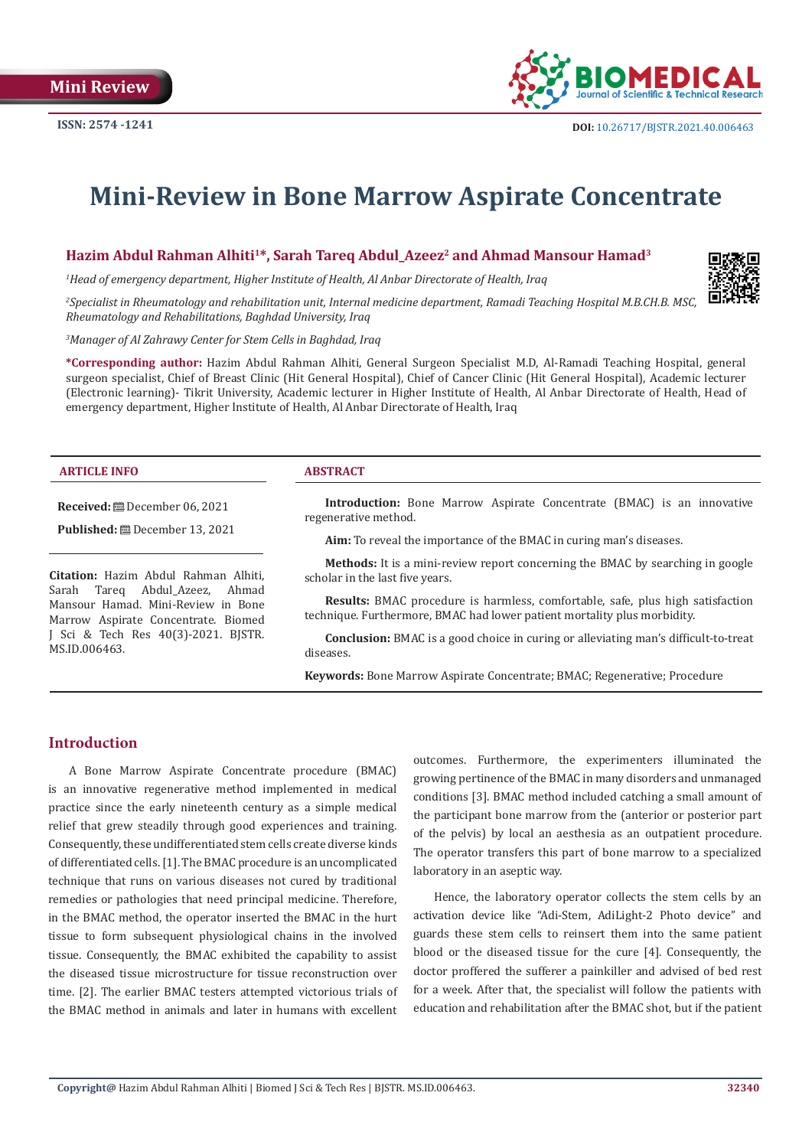

# **Mini-Review in Bone Marrow Aspirate Concentrate**

**Hazim Abdul Rahman Alhiti1\*, Sarah Tareq Abdul\_Azeez2 and Ahmad Mansour Hamad3**

*1 Head of emergency department, Higher Institute of Health, Al Anbar Directorate of Health, Iraq*



*2 Specialist in Rheumatology and rehabilitation unit, Internal medicine department, Ramadi Teaching Hospital M.B.CH.B. MSC, Rheumatology and Rehabilitations, Baghdad University, Iraq*

*3 Manager of Al Zahrawy Center for Stem Cells in Baghdad, Iraq*

**\*Corresponding author:** Hazim Abdul Rahman Alhiti, General Surgeon Specialist M.D, Al-Ramadi Teaching Hospital, general surgeon specialist, Chief of Breast Clinic (Hit General Hospital), Chief of Cancer Clinic (Hit General Hospital), Academic lecturer (Electronic learning)- Tikrit University, Academic lecturer in Higher Institute of Health, Al Anbar Directorate of Health, Head of emergency department, Higher Institute of Health, Al Anbar Directorate of Health, Iraq

#### **ARTICLE INFO ABSTRACT**

**Received:** December 06, 2021

**Published:** December 13, 2021

**Citation:** Hazim Abdul Rahman Alhiti, Abdul Azeez, Mansour Hamad. Mini-Review in Bone Marrow Aspirate Concentrate. Biomed J Sci & Tech Res 40(3)-2021. BJSTR. MS.ID.006463.

**Introduction:** Bone Marrow Aspirate Concentrate (BMAC) is an innovative regenerative method.

**Aim:** To reveal the importance of the BMAC in curing man's diseases.

**Methods:** It is a mini-review report concerning the BMAC by searching in google scholar in the last five years.

**Results:** BMAC procedure is harmless, comfortable, safe, plus high satisfaction technique. Furthermore, BMAC had lower patient mortality plus morbidity.

**Conclusion:** BMAC is a good choice in curing or alleviating man's difficult-to-treat diseases.

**Keywords:** Bone Marrow Aspirate Concentrate; BMAC; Regenerative; Procedure

# **Introduction**

A Bone Marrow Aspirate Concentrate procedure (BMAC) is an innovative regenerative method implemented in medical practice since the early nineteenth century as a simple medical relief that grew steadily through good experiences and training. Consequently, these undifferentiated stem cells create diverse kinds of differentiated cells. [1]. The BMAC procedure is an uncomplicated technique that runs on various diseases not cured by traditional remedies or pathologies that need principal medicine. Therefore, in the BMAC method, the operator inserted the BMAC in the hurt tissue to form subsequent physiological chains in the involved tissue. Consequently, the BMAC exhibited the capability to assist the diseased tissue microstructure for tissue reconstruction over time. [2]. The earlier BMAC testers attempted victorious trials of the BMAC method in animals and later in humans with excellent

outcomes. Furthermore, the experimenters illuminated the growing pertinence of the BMAC in many disorders and unmanaged conditions [3]. BMAC method included catching a small amount of the participant bone marrow from the (anterior or posterior part of the pelvis) by local an aesthesia as an outpatient procedure. The operator transfers this part of bone marrow to a specialized laboratory in an aseptic way.

Hence, the laboratory operator collects the stem cells by an activation device like "Adi-Stem, AdiLight-2 Photo device" and guards these stem cells to reinsert them into the same patient blood or the diseased tissue for the cure [4]. Consequently, the doctor proffered the sufferer a painkiller and advised of bed rest for a week. After that, the specialist will follow the patients with education and rehabilitation after the BMAC shot, but if the patient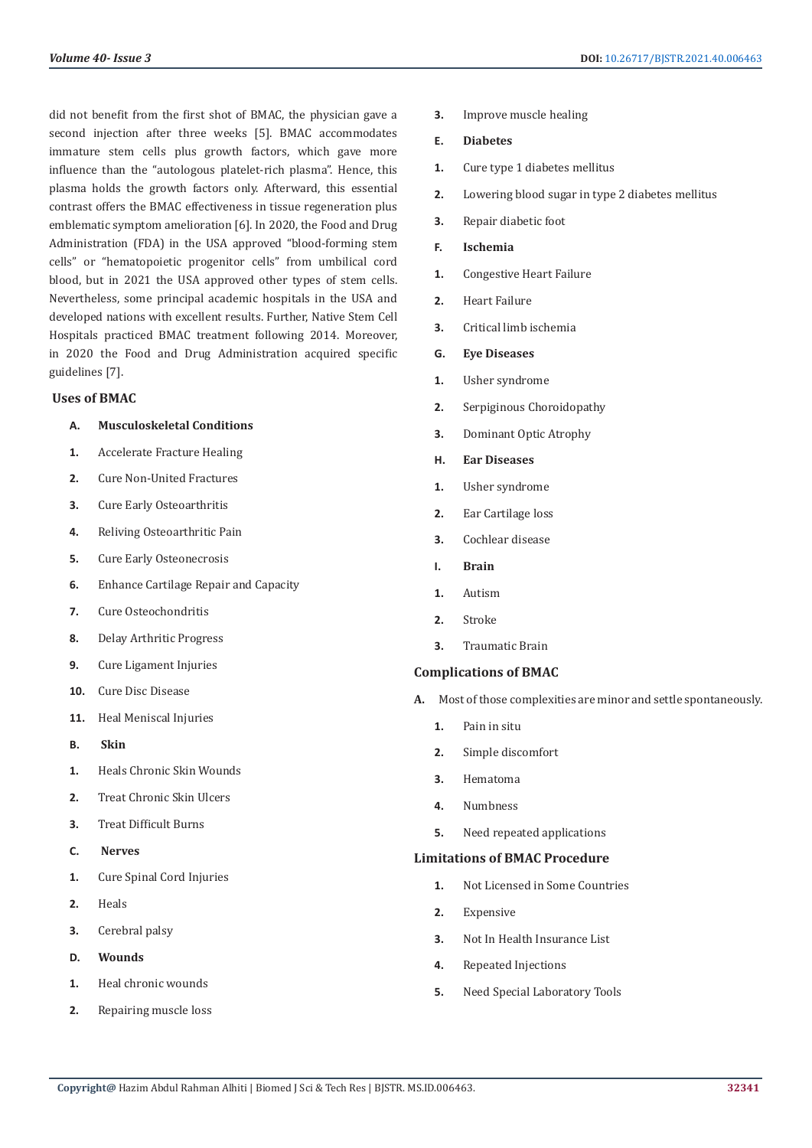did not benefit from the first shot of BMAC, the physician gave a second injection after three weeks [5]. BMAC accommodates immature stem cells plus growth factors, which gave more influence than the "autologous platelet-rich plasma". Hence, this plasma holds the growth factors only. Afterward, this essential contrast offers the BMAC effectiveness in tissue regeneration plus emblematic symptom amelioration [6]. In 2020, the Food and Drug Administration (FDA) in the USA approved "blood-forming stem cells" or "hematopoietic progenitor cells" from umbilical cord blood, but in 2021 the USA approved other types of stem cells. Nevertheless, some principal academic hospitals in the USA and developed nations with excellent results. Further, Native Stem Cell Hospitals practiced BMAC treatment following 2014. Moreover, in 2020 the Food and Drug Administration acquired specific guidelines [7].

#### **Uses of BMAC**

### **A. Musculoskeletal Conditions**

- **1.** Accelerate Fracture Healing
- **2.** Cure Non-United Fractures
- **3.** Cure Early Osteoarthritis
- **4.** Reliving Osteoarthritic Pain
- **5.** Cure Early Osteonecrosis
- **6.** Enhance Cartilage Repair and Capacity
- **7.** Cure Osteochondritis
- **8.** Delay Arthritic Progress
- **9.** Cure Ligament Injuries
- **10.** Cure Disc Disease
- **11.** Heal Meniscal Injuries
- **B. Skin**
- **1.** Heals Chronic Skin Wounds
- **2.** Treat Chronic Skin Ulcers
- **3.** Treat Difficult Burns
- **C. Nerves**
- **1.** Cure Spinal Cord Injuries
- **2.** Heals
- **3.** Cerebral palsy
- **D. Wounds**
- **1.** Heal chronic wounds
- **2.** Repairing muscle loss
- **3.** Improve muscle healing
- **E. Diabetes**
- **1.** Cure type 1 diabetes mellitus
- **2.** Lowering blood sugar in type 2 diabetes mellitus
- **3.** Repair diabetic foot
- **F. Ischemia**
- **1.** Congestive Heart Failure
- **2.** Heart Failure
- **3.** Critical limb ischemia
- **G. Eye Diseases**
- **1.** Usher syndrome
- **2.** Serpiginous Choroidopathy
- **3.** Dominant Optic Atrophy
- **H. Ear Diseases**
- **1.** Usher syndrome
- **2.** Ear Cartilage loss
- **3.** Cochlear disease
- **I. Brain**
- **1.** Autism
- **2.** Stroke
- **3.** Traumatic Brain

#### **Complications of BMAC**

- **A.** Most of those complexities are minor and settle spontaneously.
	- **1.** Pain in situ
	- **2.** Simple discomfort
	- **3.** Hematoma
	- **4.** Numbness
	- **5.** Need repeated applications

#### **Limitations of BMAC Procedure**

- **1.** Not Licensed in Some Countries
- **2.** Expensive
- **3.** Not In Health Insurance List
- **4.** Repeated Injections
- **5.** Need Special Laboratory Tools